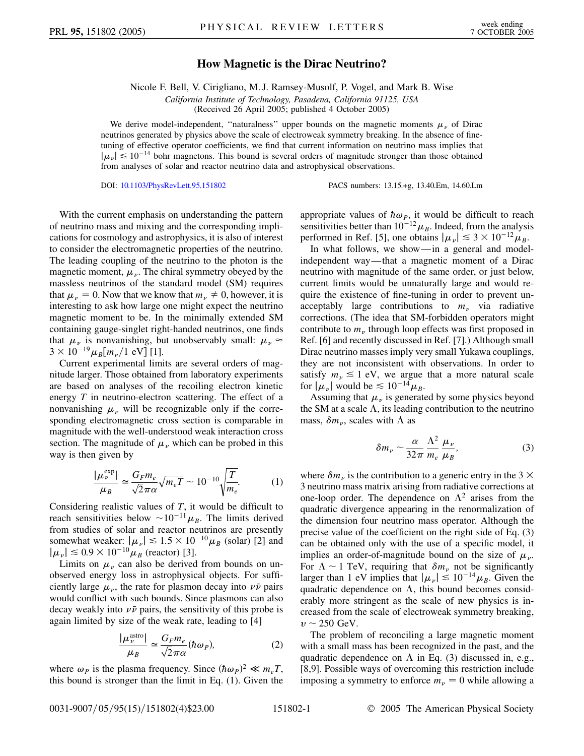## **How Magnetic is the Dirac Neutrino?**

Nicole F. Bell, V. Cirigliano, M. J. Ramsey-Musolf, P. Vogel, and Mark B. Wise

*California Institute of Technology, Pasadena, California 91125, USA*

(Received 26 April 2005; published 4 October 2005)

We derive model-independent, "naturalness" upper bounds on the magnetic moments  $\mu_{\nu}$  of Dirac neutrinos generated by physics above the scale of electroweak symmetry breaking. In the absence of finetuning of effective operator coefficients, we find that current information on neutrino mass implies that  $|\mu_{\nu}| \lesssim 10^{-14}$  bohr magnetons. This bound is several orders of magnitude stronger than those obtained from analyses of solar and reactor neutrino data and astrophysical observations.

DOI: [10.1103/PhysRevLett.95.151802](http://dx.doi.org/10.1103/PhysRevLett.95.151802) PACS numbers: 13.15.+g, 13.40.Em, 14.60.Lm

With the current emphasis on understanding the pattern of neutrino mass and mixing and the corresponding implications for cosmology and astrophysics, it is also of interest to consider the electromagnetic properties of the neutrino. The leading coupling of the neutrino to the photon is the magnetic moment,  $\mu_{\nu}$ . The chiral symmetry obeyed by the massless neutrinos of the standard model (SM) requires that  $\mu_{\nu} = 0$ . Now that we know that  $m_{\nu} \neq 0$ , however, it is interesting to ask how large one might expect the neutrino magnetic moment to be. In the minimally extended SM containing gauge-singlet right-handed neutrinos, one finds that  $\mu_{\nu}$  is nonvanishing, but unobservably small:  $\mu_{\nu} \approx$  $3 \times 10^{-19} \mu_B[m_\nu/1 \text{ eV}]$  [1].

Current experimental limits are several orders of magnitude larger. Those obtained from laboratory experiments are based on analyses of the recoiling electron kinetic energy *T* in neutrino-electron scattering. The effect of a nonvanishing  $\mu_{\nu}$  will be recognizable only if the corresponding electromagnetic cross section is comparable in magnitude with the well-understood weak interaction cross section. The magnitude of  $\mu_{\nu}$  which can be probed in this way is then given by

$$
\frac{|\mu_{\nu}^{\text{exp}}|}{\mu_{B}} \simeq \frac{G_{F}m_{e}}{\sqrt{2}\pi\alpha} \sqrt{m_{e}T} \sim 10^{-10} \sqrt{\frac{T}{m_{e}}}.
$$
 (1)

Considering realistic values of *T*, it would be difficult to reach sensitivities below  $\sim 10^{-11} \mu_B$ . The limits derived from studies of solar and reactor neutrinos are presently somewhat weaker:  $|\mu_{\nu}| \lesssim 1.5 \times 10^{-10} \mu_{B}$  (solar) [2] and  $|\mu_{\nu}| \leq 0.9 \times 10^{-10} \mu_{B}$  (reactor) [3].

Limits on  $\mu_{\nu}$  can also be derived from bounds on unobserved energy loss in astrophysical objects. For sufficiently large  $\mu_{\nu}$ , the rate for plasmon decay into  $\nu\bar{\nu}$  pairs would conflict with such bounds. Since plasmons can also decay weakly into  $\nu \bar{\nu}$  pairs, the sensitivity of this probe is again limited by size of the weak rate, leading to [4]

$$
\frac{|\mu_{\nu}^{\text{astro}}|}{\mu_{B}} \simeq \frac{G_{F}m_{e}}{\sqrt{2}\pi\alpha}(\hbar\omega_{P}),\tag{2}
$$

where  $\omega_p$  is the plasma frequency. Since  $(\hbar \omega_p)^2 \ll m_e T$ , this bound is stronger than the limit in Eq. (1). Given the

appropriate values of  $\hbar \omega_p$ , it would be difficult to reach sensitivities better than  $10^{-12}\mu_B$ . Indeed, from the analysis performed in Ref. [5], one obtains  $|\mu_{\nu}| \leq 3 \times 10^{-12} \mu_{B}$ .

In what follows, we show—in a general and modelindependent way—that a magnetic moment of a Dirac neutrino with magnitude of the same order, or just below, current limits would be unnaturally large and would require the existence of fine-tuning in order to prevent unacceptably large contributions to  $m_{\nu}$  via radiative corrections. (The idea that SM-forbidden operators might contribute to  $m_{\nu}$  through loop effects was first proposed in Ref. [6] and recently discussed in Ref. [7].) Although small Dirac neutrino masses imply very small Yukawa couplings, they are not inconsistent with observations. In order to satisfy  $m_{\nu} \leq 1$  eV, we argue that a more natural scale for  $|\mu_{\nu}|$  would be  $\leq 10^{-14} \mu_{B}$ .

Assuming that  $\mu_{\nu}$  is generated by some physics beyond the SM at a scale  $\Lambda$ , its leading contribution to the neutrino mass,  $\delta m_{\nu}$ , scales with  $\Lambda$  as

$$
\delta m_{\nu} \sim \frac{\alpha}{32\pi} \frac{\Lambda^2}{m_e} \frac{\mu_{\nu}}{\mu_B},\tag{3}
$$

where  $\delta m_{\nu}$  is the contribution to a generic entry in the 3  $\times$ 3 neutrino mass matrix arising from radiative corrections at one-loop order. The dependence on  $\Lambda^2$  arises from the quadratic divergence appearing in the renormalization of the dimension four neutrino mass operator. Although the precise value of the coefficient on the right side of Eq. (3) can be obtained only with the use of a specific model, it implies an order-of-magnitude bound on the size of  $\mu_{\nu}$ . For  $\Lambda \sim 1$  TeV, requiring that  $\delta m_{\nu}$  not be significantly larger than 1 eV implies that  $|\mu_{\nu}| \lesssim 10^{-14} \mu_{B}$ . Given the quadratic dependence on  $\Lambda$ , this bound becomes considerably more stringent as the scale of new physics is increased from the scale of electroweak symmetry breaking,  $v \sim 250$  GeV.

The problem of reconciling a large magnetic moment with a small mass has been recognized in the past, and the quadratic dependence on  $\Lambda$  in Eq. (3) discussed in, e.g., [8,9]. Possible ways of overcoming this restriction include imposing a symmetry to enforce  $m_{\nu} = 0$  while allowing a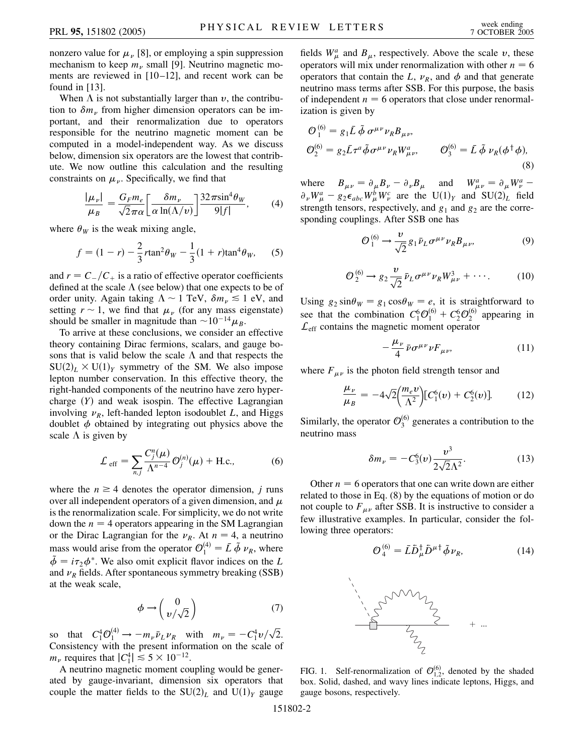nonzero value for  $\mu_{\nu}$  [8], or employing a spin suppression mechanism to keep  $m_{\nu}$  small [9]. Neutrino magnetic moments are reviewed in [10–12], and recent work can be found in [13].

When  $\Lambda$  is not substantially larger than  $v$ , the contribution to  $\delta m_{\nu}$  from higher dimension operators can be important, and their renormalization due to operators responsible for the neutrino magnetic moment can be computed in a model-independent way. As we discuss below, dimension six operators are the lowest that contribute. We now outline this calculation and the resulting constraints on  $\mu_{\nu}$ . Specifically, we find that

$$
\frac{|\mu_{\nu}|}{\mu_{B}} = \frac{G_{F}m_{e}}{\sqrt{2}\pi\alpha} \left[\frac{\delta m_{\nu}}{\alpha \ln(\Lambda/\nu)}\right] \frac{32\pi \sin^{4}\theta_{W}}{9|f|},\qquad(4)
$$

where  $\theta_W$  is the weak mixing angle,

$$
f = (1 - r) - \frac{2}{3}r \tan^2 \theta_W - \frac{1}{3}(1 + r) \tan^4 \theta_W,
$$
 (5)

and  $r = C_{-}/C_{+}$  is a ratio of effective operator coefficients defined at the scale  $\Lambda$  (see below) that one expects to be of order unity. Again taking  $\Lambda \sim 1$  TeV,  $\delta m_{\nu} \lesssim 1$  eV, and setting  $r \sim 1$ , we find that  $\mu_{\nu}$  (for any mass eigenstate) should be smaller in magnitude than  $\sim 10^{-14} \mu_B$ .

To arrive at these conclusions, we consider an effective theory containing Dirac fermions, scalars, and gauge bosons that is valid below the scale  $\Lambda$  and that respects the  $SU(2)_L \times U(1)_Y$  symmetry of the SM. We also impose lepton number conservation. In this effective theory, the right-handed components of the neutrino have zero hypercharge  $(Y)$  and weak isospin. The effective Lagrangian involving  $\nu_R$ , left-handed lepton isodoublet *L*, and Higgs doublet  $\phi$  obtained by integrating out physics above the scale  $\Lambda$  is given by

$$
\mathcal{L}_{\text{eff}} = \sum_{n,j} \frac{C_j^n(\mu)}{\Lambda^{n-4}} \mathcal{O}_j^{(n)}(\mu) + \text{H.c.},
$$
 (6)

where the  $n \geq 4$  denotes the operator dimension, *j* runs over all independent operators of a given dimension, and  $\mu$ is the renormalization scale. For simplicity, we do not write down the  $n = 4$  operators appearing in the SM Lagrangian or the Dirac Lagrangian for the  $\nu_R$ . At  $n = 4$ , a neutrino mass would arise from the operator  $\mathcal{O}_1^{(4)} = \bar{L} \tilde{\phi} \nu_R$ , where  $\tilde{\phi} = i\tau_2 \phi^*$ . We also omit explicit flavor indices on the *L* and  $\nu_R$  fields. After spontaneous symmetry breaking (SSB) at the weak scale,

$$
\phi \to \begin{pmatrix} 0 \\ v/\sqrt{2} \end{pmatrix} \tag{7}
$$

so that  $C_1^4 \mathcal{O}_1^{(4)} \to -m_{\nu} \bar{\nu}_L \nu_R$  with  $m_{\nu} = -C_1^4 \nu / \sqrt{2}$ . Consistency with the present information on the scale of  $m_{\nu}$  requires that  $|C_1^4| \leq 5 \times 10^{-12}$ .

A neutrino magnetic moment coupling would be generated by gauge-invariant, dimension six operators that couple the matter fields to the  $SU(2)_L$  and  $U(1)_Y$  gauge

fields  $W^a_\mu$  and  $B_\mu$ , respectively. Above the scale *v*, these operators will mix under renormalization with other  $n = 6$ operators that contain the *L*,  $\nu_R$ , and  $\phi$  and that generate neutrino mass terms after SSB. For this purpose, the basis of independent  $n = 6$  operators that close under renormalization is given by

$$
\mathcal{O}_{1}^{(6)} = g_{1}\bar{L} \tilde{\phi} \sigma^{\mu\nu} \nu_{R} B_{\mu\nu},
$$
  
\n
$$
\mathcal{O}_{2}^{(6)} = g_{2}\bar{L}\tau^{a} \tilde{\phi} \sigma^{\mu\nu} \nu_{R} W_{\mu\nu}^{a}, \qquad \mathcal{O}_{3}^{(6)} = \bar{L} \tilde{\phi} \nu_{R} (\phi^{\dagger} \phi),
$$
  
\n(8)

where  $B_{\mu\nu} = \partial_{\mu}B_{\nu} - \partial_{\nu}B_{\mu}$  and  $W_{\mu\nu}^{a} = \partial_{\mu}W_{\nu}^{a} \partial_{\nu}W_{\mu}^{a} - g_{2}\epsilon_{abc}W_{\mu}^{b}W_{\nu}^{c}$  are the U(1)<sub>Y</sub> and SU(2)<sub>L</sub> field strength tensors, respectively, and  $g_1$  and  $g_2$  are the corresponding couplings. After SSB one has

$$
\mathcal{O}_1^{(6)} \longrightarrow \frac{\nu}{\sqrt{2}} g_1 \bar{\nu}_L \sigma^{\mu\nu} \nu_R B_{\mu\nu},\tag{9}
$$

$$
\mathcal{O}_2^{(6)} \to g_2 \frac{\nu}{\sqrt{2}} \bar{\nu}_L \sigma^{\mu \nu} \nu_R W^3_{\mu \nu} + \cdots. \tag{10}
$$

Using  $g_2 \sin \theta_W = g_1 \cos \theta_W = e$ , it is straightforward to see that the combination  $C_1^6 \mathcal{O}_1^{(6)} + C_2^6 \mathcal{O}_2^{(6)}$  appearing in  $\mathcal{L}_{\text{eff}}$  contains the magnetic moment operator

$$
-\frac{\mu_{\nu}}{4}\bar{\nu}\sigma^{\mu\nu}\nu F_{\mu\nu},\tag{11}
$$

where  $F_{\mu\nu}$  is the photon field strength tensor and

$$
\frac{\mu_{\nu}}{\mu_{B}} = -4\sqrt{2} \left(\frac{m_{e}v}{\Lambda^{2}}\right) \left[C_{1}^{6}(v) + C_{2}^{6}(v)\right].
$$
 (12)

Similarly, the operator  $\mathcal{O}_3^{(6)}$  generates a contribution to the neutrino mass

$$
\delta m_{\nu} = -C_3^6(\nu) \frac{\nu^3}{2\sqrt{2}\Lambda^2}.\tag{13}
$$

Other  $n = 6$  operators that one can write down are either related to those in Eq. (8) by the equations of motion or do not couple to  $F_{\mu\nu}$  after SSB. It is instructive to consider a few illustrative examples. In particular, consider the following three operators:

$$
\mathcal{O}_4^{(6)} = \bar{L}\bar{D}^\dagger_\mu \bar{D}^{\mu \dagger} \tilde{\phi} \nu_R, \tag{14}
$$



FIG. 1. Self-renormalization of  $\mathcal{O}_{1,2}^{(6)}$ , denoted by the shaded box. Solid, dashed, and wavy lines indicate leptons, Higgs, and gauge bosons, respectively.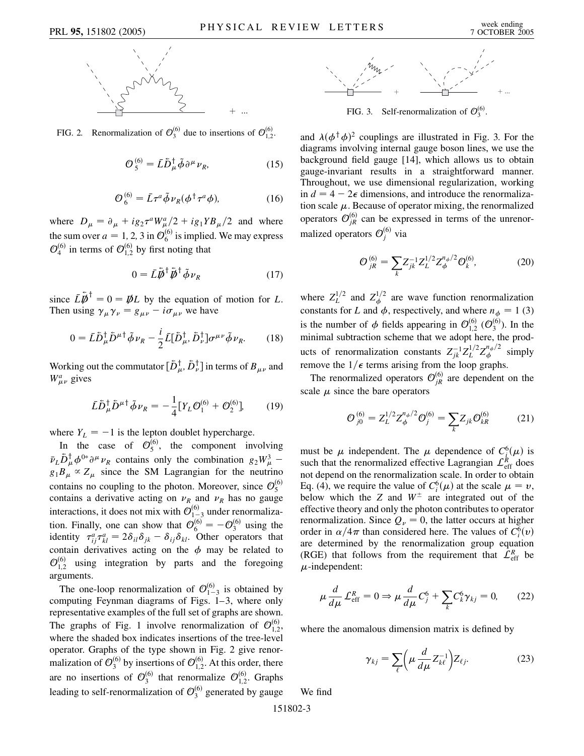

FIG. 2. Renormalization of  $\mathcal{O}_3^{(6)}$  due to insertions of  $\mathcal{O}_{1,2}^{(6)}$ .

$$
\mathcal{O}_5^{(6)} = \bar{L}\bar{D}_{\mu}^{\dagger} \tilde{\phi} \partial^{\mu} \nu_R, \tag{15}
$$

$$
\mathcal{O}_6^{(6)} = \bar{L}\tau^a \tilde{\phi} \nu_R (\phi^\dagger \tau^a \phi), \tag{16}
$$

where  $D_{\mu} = \partial_{\mu} + ig_2 \tau^a W^a_{\mu}/2 + ig_1 Y B_{\mu}/2$  and where the sum over  $a = 1, 2, 3$  in  $\mathcal{O}_6^{(6)}$  is implied. We may express  $\mathcal{O}_4^{(6)}$  in terms of  $\mathcal{O}_{1,2}^{(6)}$  by first noting that

$$
0 = \tilde{L}\tilde{\bar{\psi}}^{\dagger}\tilde{\bar{\psi}}^{\dagger}\tilde{\phi}\nu_R
$$
 (17)

since  $\bar{L}\bar{\bar{\psi}}^{\dagger} = 0 = \bar{\psi}L$  by the equation of motion for *L*. Then using  $\gamma_{\mu} \gamma_{\nu} = g_{\mu\nu} - i \sigma_{\mu\nu}$  we have

$$
0 = \bar{L}\bar{D}_{\mu}^{\dagger}\bar{D}^{\mu\dagger}\tilde{\phi}\nu_{R} - \frac{i}{2}\bar{L}[\bar{D}_{\mu}^{\dagger}, \bar{D}_{\nu}^{\dagger}]\sigma^{\mu\nu}\tilde{\phi}\nu_{R}.
$$
 (18)

Working out the commutator  $[\tilde{D}_{\mu}^{\dagger}, \tilde{D}_{\nu}^{\dagger}]$  in terms of  $B_{\mu\nu}$  and  $W^a_{\mu\nu}$  gives

$$
\bar{L}\bar{D}_{\mu}^{\dagger}\bar{D}^{\mu\dagger}\tilde{\phi}\nu_{R} = -\frac{1}{4} [Y_{L}\mathcal{O}_{1}^{(6)} + \mathcal{O}_{2}^{(6)}],\tag{19}
$$

where  $Y_L = -1$  is the lepton doublet hypercharge.

In the case of  $\mathcal{O}_5^{(6)}$ , the component involving  $\bar{\nu}_L \tilde{D}^{\dagger}_{\mu} \phi^{0*} \partial^{\mu} \nu_R$  contains only the combination  $g_2 W^3_{\mu}$  –  $g_1 B_\mu \propto Z_\mu$  since the SM Lagrangian for the neutrino contains no coupling to the photon. Moreover, since  $\mathcal{O}_5^{(6)}$ contains a derivative acting on  $\nu_R$  and  $\nu_R$  has no gauge interactions, it does not mix with  $\mathcal{O}_{1-3}^{(6)}$  under renormalization. Finally, one can show that  $\mathcal{O}_6^{(6)} = -\mathcal{O}_3^{(6)}$  using the identity  $\tau_{ij}^a \tau_{kl}^a = 2\delta_{il}\delta_{jk} - \delta_{ij}\delta_{kl}$ . Other operators that contain derivatives acting on the  $\phi$  may be related to  $\mathcal{O}_{1,2}^{(6)}$  using integration by parts and the foregoing arguments.

The one-loop renormalization of  $\mathcal{O}_{1-3}^{(6)}$  is obtained by computing Feynman diagrams of Figs. 1–3, where only representative examples of the full set of graphs are shown. The graphs of Fig. 1 involve renormalization of  $\mathcal{O}_{1,2}^{(6)}$ , where the shaded box indicates insertions of the tree-level operator. Graphs of the type shown in Fig. 2 give renormalization of  $\mathcal{O}_3^{(6)}$  by insertions of  $\mathcal{O}_{1,2}^{(6)}$ . At this order, there are no insertions of  $\mathcal{O}_3^{(6)}$  that renormalize  $\mathcal{O}_{1,2}^{(6)}$ . Graphs leading to self-renormalization of  $\mathcal{O}_3^{(6)}$  generated by gauge



+ ... FIG. 3. Self-renormalization of  $\mathcal{O}_3^{(6)}$ .

and  $\lambda(\phi^{\dagger}\phi)^2$  couplings are illustrated in Fig. 3. For the diagrams involving internal gauge boson lines, we use the background field gauge [14], which allows us to obtain gauge-invariant results in a straightforward manner. Throughout, we use dimensional regularization, working in  $d = 4 - 2\epsilon$  dimensions, and introduce the renormalization scale  $\mu$ . Because of operator mixing, the renormalized operators  $\mathcal{O}_{jR}^{(6)}$  can be expressed in terms of the unrenormalized operators  $\mathcal{O}_j^{(6)}$  via

$$
\mathcal{O}_{jR}^{(6)} = \sum_{k} Z_{jk}^{-1} Z_L^{1/2} Z_{\phi}^{n_{\phi}/2} \mathcal{O}_{k}^{(6)},\tag{20}
$$

where  $Z_L^{1/2}$  and  $Z_\phi^{1/2}$  are wave function renormalization constants for *L* and  $\phi$ , respectively, and where  $n_{\phi} = 1$  (3) is the number of  $\phi$  fields appearing in  $\mathcal{O}_{1,2}^{(6)}$  ( $\mathcal{O}_{3}^{(6)}$ ). In the minimal subtraction scheme that we adopt here, the products of renormalization constants  $Z_{jk}^{-1}Z_L^{1/2}Z_{\phi}^{n_{\phi}/2}$  simply remove the  $1/\epsilon$  terms arising from the loop graphs.

The renormalized operators  $\mathcal{O}_{jR}^{(6)}$  are dependent on the scale  $\mu$  since the bare operators

$$
\mathcal{O}_{j0}^{(6)} = Z_L^{1/2} Z_\phi^{n_\phi/2} \mathcal{O}_j^{(6)} = \sum_k Z_{jk} \mathcal{O}_{kR}^{(6)} \tag{21}
$$

must be  $\mu$  independent. The  $\mu$  dependence of  $C^6_i(\mu)$  is such that the renormalized effective Lagrangian  $\mathcal{L}_{\text{eff}}^R$  does not depend on the renormalization scale. In order to obtain Eq. (4), we require the value of  $C_i^6(\mu)$  at the scale  $\mu = \nu$ , below which the *Z* and  $W^{\pm}$  are integrated out of the effective theory and only the photon contributes to operator renormalization. Since  $Q_{\nu} = 0$ , the latter occurs at higher order in  $\alpha/4\pi$  than considered here. The values of  $C_i^6(v)$ are determined by the renormalization group equation (RGE) that follows from the requirement that  $\mathcal{L}_{eff}^{R}$  be  $\mu$ -independent:

$$
\mu \frac{d}{d\mu} \mathcal{L}_{\text{eff}}^R = 0 \Rightarrow \mu \frac{d}{d\mu} C_j^6 + \sum_k C_k^6 \gamma_{kj} = 0, \qquad (22)
$$

where the anomalous dimension matrix is defined by

$$
\gamma_{kj} = \sum_{\ell} \left( \mu \frac{d}{d\mu} Z_{k\ell}^{-1} \right) Z_{\ell j}.
$$
 (23)

We find